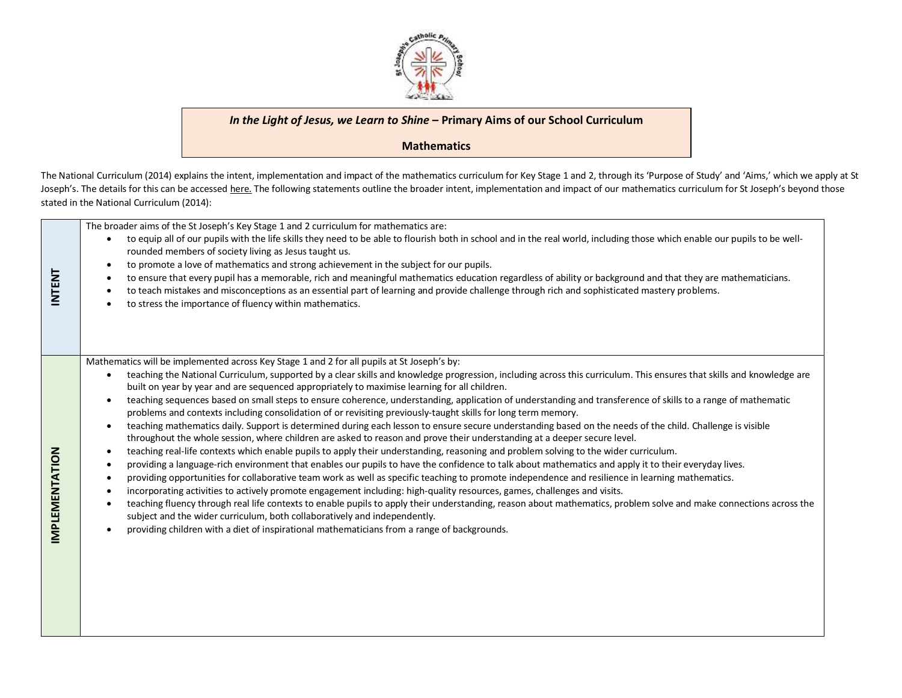

## *In the Light of Jesus, we Learn to Shine* **– Primary Aims of our School Curriculum**

## **Mathematics**

The National Curriculum (2014) explains the intent, implementation and impact of the mathematics curriculum for Key Stage 1 and 2, through its 'Purpose of Study' and 'Aims,' which we apply at St Joseph's. The details for this can be accessed [here.](https://www.gov.uk/government/publications/national-curriculum-in-england-mathematics-programmes-of-study/national-curriculum-in-england-mathematics-programmes-of-study) The following statements outline the broader intent, implementation and impact of our mathematics curriculum for St Joseph's beyond those stated in the National Curriculum (2014):

| <b>INTENT</b>         | The broader aims of the St Joseph's Key Stage 1 and 2 curriculum for mathematics are:<br>to equip all of our pupils with the life skills they need to be able to flourish both in school and in the real world, including those which enable our pupils to be well-<br>rounded members of society living as Jesus taught us.<br>to promote a love of mathematics and strong achievement in the subject for our pupils.<br>$\bullet$<br>to ensure that every pupil has a memorable, rich and meaningful mathematics education regardless of ability or background and that they are mathematicians.<br>to teach mistakes and misconceptions as an essential part of learning and provide challenge through rich and sophisticated mastery problems.<br>to stress the importance of fluency within mathematics.                                                                                                                                                                                                                                                                                                                                                                                                                                                                                                                                                                                                                                                                                                                                                                                                                                                                                                                                                                                                                                                                                                       |
|-----------------------|---------------------------------------------------------------------------------------------------------------------------------------------------------------------------------------------------------------------------------------------------------------------------------------------------------------------------------------------------------------------------------------------------------------------------------------------------------------------------------------------------------------------------------------------------------------------------------------------------------------------------------------------------------------------------------------------------------------------------------------------------------------------------------------------------------------------------------------------------------------------------------------------------------------------------------------------------------------------------------------------------------------------------------------------------------------------------------------------------------------------------------------------------------------------------------------------------------------------------------------------------------------------------------------------------------------------------------------------------------------------------------------------------------------------------------------------------------------------------------------------------------------------------------------------------------------------------------------------------------------------------------------------------------------------------------------------------------------------------------------------------------------------------------------------------------------------------------------------------------------------------------------------------------------------|
| <b>IMPLEMENTATION</b> | Mathematics will be implemented across Key Stage 1 and 2 for all pupils at St Joseph's by:<br>teaching the National Curriculum, supported by a clear skills and knowledge progression, including across this curriculum. This ensures that skills and knowledge are<br>$\bullet$<br>built on year by year and are sequenced appropriately to maximise learning for all children.<br>teaching sequences based on small steps to ensure coherence, understanding, application of understanding and transference of skills to a range of mathematic<br>problems and contexts including consolidation of or revisiting previously-taught skills for long term memory.<br>teaching mathematics daily. Support is determined during each lesson to ensure secure understanding based on the needs of the child. Challenge is visible<br>٠<br>throughout the whole session, where children are asked to reason and prove their understanding at a deeper secure level.<br>teaching real-life contexts which enable pupils to apply their understanding, reasoning and problem solving to the wider curriculum.<br>$\bullet$<br>providing a language-rich environment that enables our pupils to have the confidence to talk about mathematics and apply it to their everyday lives.<br>providing opportunities for collaborative team work as well as specific teaching to promote independence and resilience in learning mathematics.<br>٠<br>incorporating activities to actively promote engagement including: high-quality resources, games, challenges and visits.<br>teaching fluency through real life contexts to enable pupils to apply their understanding, reason about mathematics, problem solve and make connections across the<br>subject and the wider curriculum, both collaboratively and independently.<br>providing children with a diet of inspirational mathematicians from a range of backgrounds. |